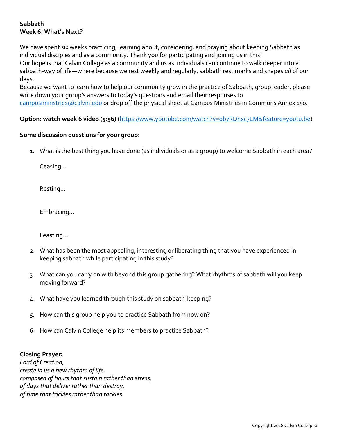## **Sabbath Week 6: What's Next?**

We have spent six weeks practicing, learning about, considering, and praying about keeping Sabbath as individual disciples and as a community. Thank you for participating and joining us in this! Our hope is that Calvin College as a community and us as individuals can continue to walk deeper into a sabbath-way of life—where because we rest weekly and regularly, sabbath rest marks and shapes *all* of our days.

Because we want to learn how to help our community grow in the practice of Sabbath, group leader, please write down your group's answers to today's questions and email their responses to campusministries@calvin.edu or drop off the physical sheet at Campus Ministries in Commons Annex 150.

## **Option: watch week 6 video (5:56)** (https://www.youtube.com/watch?v=ob7RDnxc7LM&feature=youtu.be)

## **Some discussion questions for your group:**

1. What is the best thing you have done (as individuals or as a group) to welcome Sabbath in each area?

Ceasing...

Resting...

Embracing...

Feasting...

- 2. What has been the most appealing, interesting or liberating thing that you have experienced in keeping sabbath while participating in this study?
- 3. What can you carry on with beyond this group gathering? What rhythms of sabbath will you keep moving forward?
- 4. What have you learned through this study on sabbath-keeping?
- 5. How can this group help you to practice Sabbath from now on?
- 6. How can Calvin College help its members to practice Sabbath?

## **Closing Prayer:**

*Lord of Creation, create in us a new rhythm of life composed of hours that sustain rather than stress, of days that deliver rather than destroy, of time that trickles rather than tackles.*